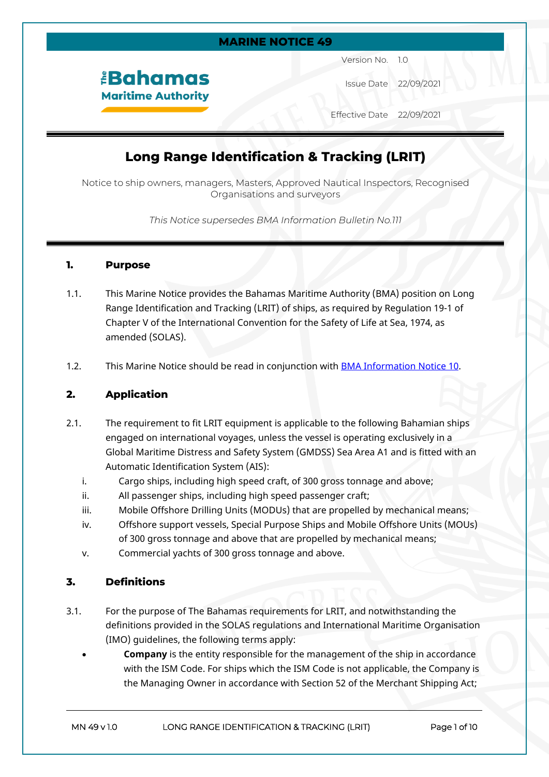

Version No. 1.0

Issue Date 22/09/2021

Effective Date 22/09/2021

# **Long Range Identification & Tracking (LRIT)**

Notice to ship owners, managers, Masters, Approved Nautical Inspectors, Recognised Organisations and surveyors

*This Notice supersedes BMA Information Bulletin No.111*

#### **1. Purpose**

*<u><b>Bahamas</u>* **Maritime Authority** 

- 1.1. This Marine Notice provides the Bahamas Maritime Authority (BMA) position on Long Range Identification and Tracking (LRIT) of ships, as required by Regulation 19-1 of Chapter V of the International Convention for the Safety of Life at Sea, 1974, as amended (SOLAS).
- 1.2. This Marine Notice should be read in conjunction with [BMA Information Notice 10.](https://www.bahamasmaritime.com/wp-content/uploads/2021/07/IN010-LRIT-Testing-ASPs-v1.1.pdf)

## **2. Application**

- 2.1. The requirement to fit LRIT equipment is applicable to the following Bahamian ships engaged on international voyages, unless the vessel is operating exclusively in a Global Maritime Distress and Safety System (GMDSS) Sea Area A1 and is fitted with an Automatic Identification System (AIS):
	- i. Cargo ships, including high speed craft, of 300 gross tonnage and above;
	- ii. All passenger ships, including high speed passenger craft;
	- iii. Mobile Offshore Drilling Units (MODUs) that are propelled by mechanical means;
	- iv. Offshore support vessels, Special Purpose Ships and Mobile Offshore Units (MOUs) of 300 gross tonnage and above that are propelled by mechanical means;
	- v. Commercial yachts of 300 gross tonnage and above.

## **3. Definitions**

- 3.1. For the purpose of The Bahamas requirements for LRIT, and notwithstanding the definitions provided in the SOLAS regulations and International Maritime Organisation (IMO) guidelines, the following terms apply:
	- **Company** is the entity responsible for the management of the ship in accordance with the ISM Code. For ships which the ISM Code is not applicable, the Company is the Managing Owner in accordance with Section 52 of the Merchant Shipping Act;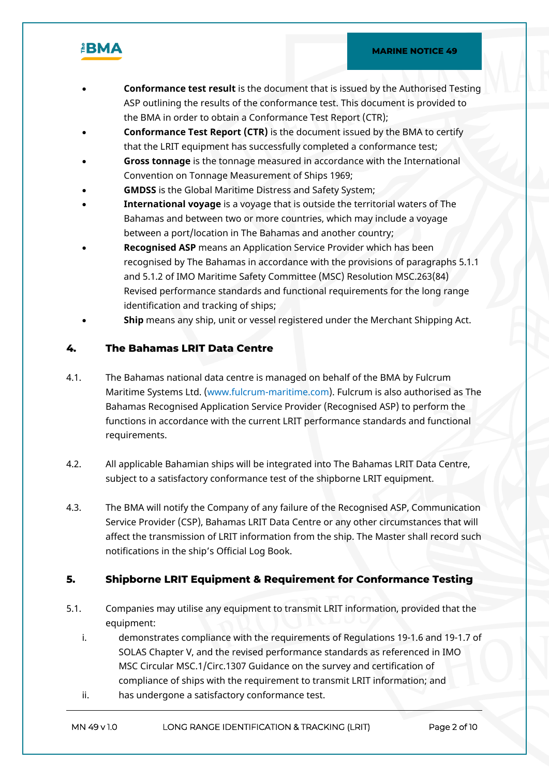

- **Conformance test result** is the document that is issued by the Authorised Testing ASP outlining the results of the conformance test. This document is provided to the BMA in order to obtain a Conformance Test Report (CTR);
- **Conformance Test Report (CTR)** is the document issued by the BMA to certify that the LRIT equipment has successfully completed a conformance test;
- **Gross tonnage** is the tonnage measured in accordance with the International Convention on Tonnage Measurement of Ships 1969;
- **GMDSS** is the Global Maritime Distress and Safety System;
- **International voyage** is a voyage that is outside the territorial waters of The Bahamas and between two or more countries, which may include a voyage between a port/location in The Bahamas and another country;
- **Recognised ASP** means an Application Service Provider which has been recognised by The Bahamas in accordance with the provisions of paragraphs 5.1.1 and 5.1.2 of IMO Maritime Safety Committee (MSC) Resolution MSC.263(84) Revised performance standards and functional requirements for the long range identification and tracking of ships;
- **Ship** means any ship, unit or vessel registered under the Merchant Shipping Act.

## **4. The Bahamas LRIT Data Centre**

- 4.1. The Bahamas national data centre is managed on behalf of the BMA by Fulcrum Maritime Systems Ltd. (www.fulcrum-maritime.com). Fulcrum is also authorised as The Bahamas Recognised Application Service Provider (Recognised ASP) to perform the functions in accordance with the current LRIT performance standards and functional requirements.
- 4.2. All applicable Bahamian ships will be integrated into The Bahamas LRIT Data Centre, subject to a satisfactory conformance test of the shipborne LRIT equipment.
- 4.3. The BMA will notify the Company of any failure of the Recognised ASP, Communication Service Provider (CSP), Bahamas LRIT Data Centre or any other circumstances that will affect the transmission of LRIT information from the ship. The Master shall record such notifications in the ship's Official Log Book.

## **5. Shipborne LRIT Equipment & Requirement for Conformance Testing**

- 5.1. Companies may utilise any equipment to transmit LRIT information, provided that the equipment:
	- i. demonstrates compliance with the requirements of Regulations 19-1.6 and 19-1.7 of SOLAS Chapter V, and the revised performance standards as referenced in IMO MSC Circular MSC.1/Circ.1307 Guidance on the survey and certification of compliance of ships with the requirement to transmit LRIT information; and
	- ii. has undergone a satisfactory conformance test.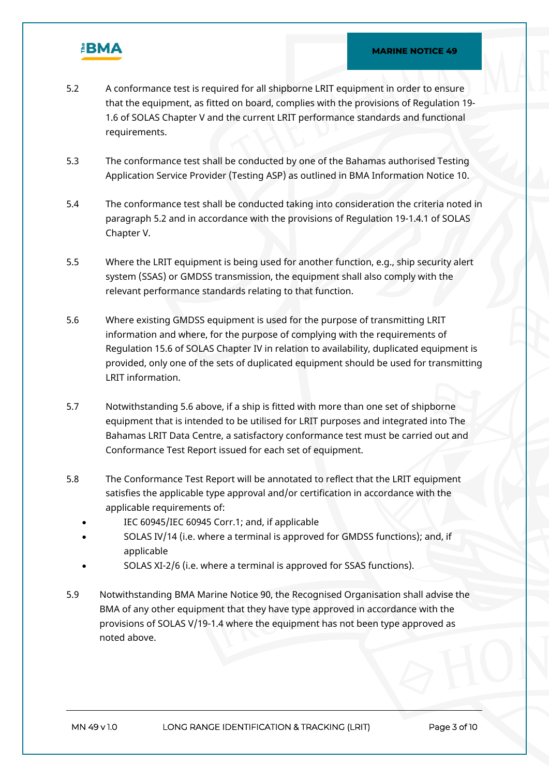

- 5.2 A conformance test is required for all shipborne LRIT equipment in order to ensure that the equipment, as fitted on board, complies with the provisions of Regulation 19- 1.6 of SOLAS Chapter V and the current LRIT performance standards and functional requirements.
- 5.3 The conformance test shall be conducted by one of the Bahamas authorised Testing Application Service Provider (Testing ASP) as outlined in BMA Information Notice 10.
- 5.4 The conformance test shall be conducted taking into consideration the criteria noted in paragraph 5.2 and in accordance with the provisions of Regulation 19-1.4.1 of SOLAS Chapter V.
- 5.5 Where the LRIT equipment is being used for another function, e.g., ship security alert system (SSAS) or GMDSS transmission, the equipment shall also comply with the relevant performance standards relating to that function.
- 5.6 Where existing GMDSS equipment is used for the purpose of transmitting LRIT information and where, for the purpose of complying with the requirements of Regulation 15.6 of SOLAS Chapter IV in relation to availability, duplicated equipment is provided, only one of the sets of duplicated equipment should be used for transmitting LRIT information.
- 5.7 Notwithstanding 5.6 above, if a ship is fitted with more than one set of shipborne equipment that is intended to be utilised for LRIT purposes and integrated into The Bahamas LRIT Data Centre, a satisfactory conformance test must be carried out and Conformance Test Report issued for each set of equipment.
- 5.8 The Conformance Test Report will be annotated to reflect that the LRIT equipment satisfies the applicable type approval and/or certification in accordance with the applicable requirements of:
	- IEC 60945/IEC 60945 Corr.1; and, if applicable
	- SOLAS IV/14 (i.e. where a terminal is approved for GMDSS functions); and, if applicable
	- SOLAS XI-2/6 (i.e. where a terminal is approved for SSAS functions).
- 5.9 Notwithstanding BMA Marine Notice 90, the Recognised Organisation shall advise the BMA of any other equipment that they have type approved in accordance with the provisions of SOLAS V/19-1.4 where the equipment has not been type approved as noted above.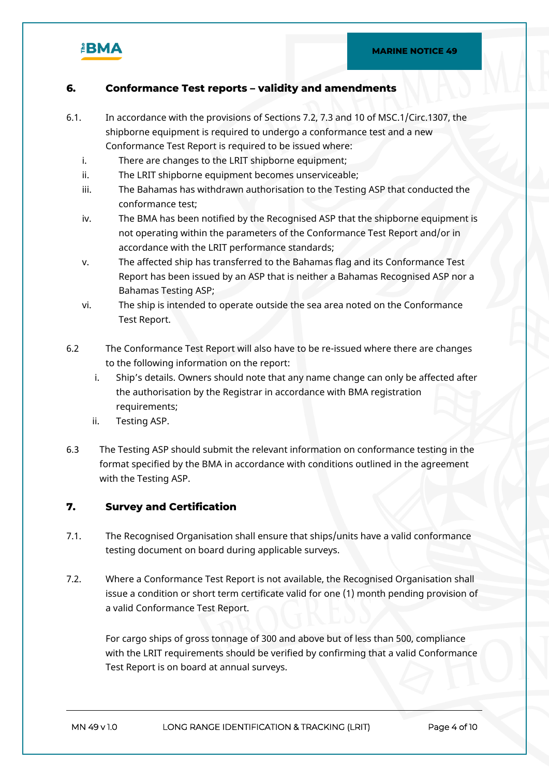

#### **6. Conformance Test reports – validity and amendments**

- 6.1. In accordance with the provisions of Sections 7.2, 7.3 and 10 of MSC.1/Circ.1307, the shipborne equipment is required to undergo a conformance test and a new Conformance Test Report is required to be issued where:
	- i. There are changes to the LRIT shipborne equipment;
	- ii. The LRIT shipborne equipment becomes unserviceable;
	- iii. The Bahamas has withdrawn authorisation to the Testing ASP that conducted the conformance test;
	- iv. The BMA has been notified by the Recognised ASP that the shipborne equipment is not operating within the parameters of the Conformance Test Report and/or in accordance with the LRIT performance standards;
	- v. The affected ship has transferred to the Bahamas flag and its Conformance Test Report has been issued by an ASP that is neither a Bahamas Recognised ASP nor a Bahamas Testing ASP;
	- vi. The ship is intended to operate outside the sea area noted on the Conformance Test Report.
- 6.2 The Conformance Test Report will also have to be re-issued where there are changes to the following information on the report:
	- i. Ship's details. Owners should note that any name change can only be affected after the authorisation by the Registrar in accordance with BMA registration requirements;
	- ii. Testing ASP.
- 6.3 The Testing ASP should submit the relevant information on conformance testing in the format specified by the BMA in accordance with conditions outlined in the agreement with the Testing ASP.

#### **7. Survey and Certification**

- 7.1. The Recognised Organisation shall ensure that ships/units have a valid conformance testing document on board during applicable surveys.
- 7.2. Where a Conformance Test Report is not available, the Recognised Organisation shall issue a condition or short term certificate valid for one (1) month pending provision of a valid Conformance Test Report.

For cargo ships of gross tonnage of 300 and above but of less than 500, compliance with the LRIT requirements should be verified by confirming that a valid Conformance Test Report is on board at annual surveys.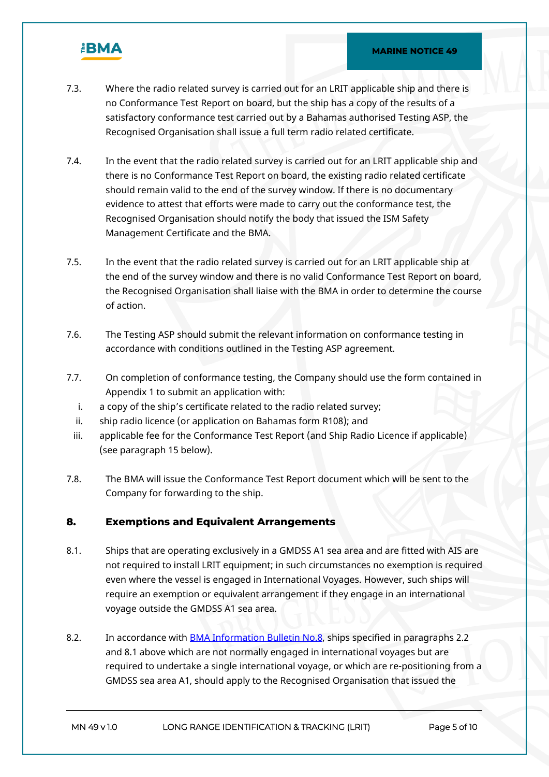

- 7.3. Where the radio related survey is carried out for an LRIT applicable ship and there is no Conformance Test Report on board, but the ship has a copy of the results of a satisfactory conformance test carried out by a Bahamas authorised Testing ASP, the Recognised Organisation shall issue a full term radio related certificate.
- 7.4. In the event that the radio related survey is carried out for an LRIT applicable ship and there is no Conformance Test Report on board, the existing radio related certificate should remain valid to the end of the survey window. If there is no documentary evidence to attest that efforts were made to carry out the conformance test, the Recognised Organisation should notify the body that issued the ISM Safety Management Certificate and the BMA.
- 7.5. In the event that the radio related survey is carried out for an LRIT applicable ship at the end of the survey window and there is no valid Conformance Test Report on board, the Recognised Organisation shall liaise with the BMA in order to determine the course of action.
- 7.6. The Testing ASP should submit the relevant information on conformance testing in accordance with conditions outlined in the Testing ASP agreement.
- 7.7. On completion of conformance testing, the Company should use the form contained in Appendix 1 to submit an application with:
	- i. a copy of the ship's certificate related to the radio related survey;
	- ii. ship radio licence (or application on Bahamas form R108); and
	- iii. applicable fee for the Conformance Test Report (and Ship Radio Licence if applicable) (see paragraph 15 below).
- 7.8. The BMA will issue the Conformance Test Report document which will be sent to the Company for forwarding to the ship.

#### **8. Exemptions and Equivalent Arrangements**

- 8.1. Ships that are operating exclusively in a GMDSS A1 sea area and are fitted with AIS are not required to install LRIT equipment; in such circumstances no exemption is required even where the vessel is engaged in International Voyages. However, such ships will require an exemption or equivalent arrangement if they engage in an international voyage outside the GMDSS A1 sea area.
- 8.2. In accordance with [BMA Information Bulletin No.8,](https://www.bahamasmaritime.com/wp-content/uploads/2021/03/BMA-Bulletin-08-Applications-For-Exemptions-from-or-Extensions-to-International-Convention-Requirements.pdf) ships specified in paragraphs 2.2 and 8.1 above which are not normally engaged in international voyages but are required to undertake a single international voyage, or which are re-positioning from a GMDSS sea area A1, should apply to the Recognised Organisation that issued the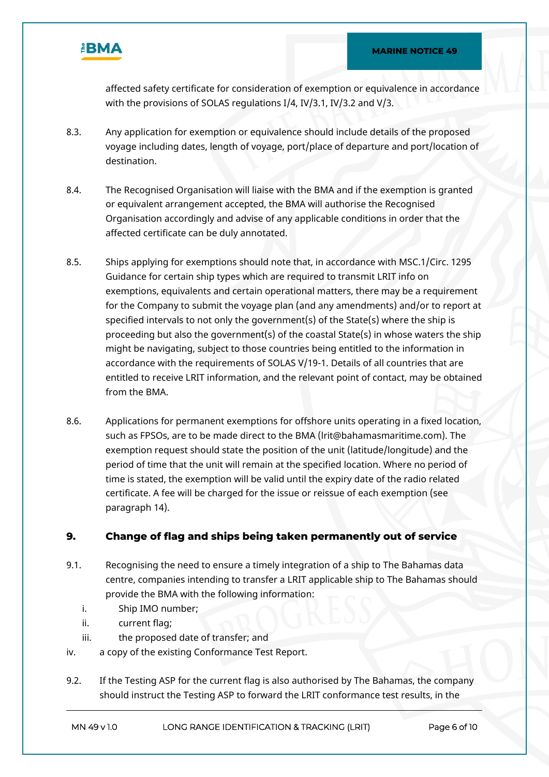

affected safety certificate for consideration of exemption or equivalence in accordance with the provisions of SOLAS regulations I/4, IV/3.1, IV/3.2 and V/3.

- 8.3. Any application for exemption or equivalence should include details of the proposed voyage including dates, length of voyage, port/place of departure and port/location of destination.
- 8.4. The Recognised Organisation will liaise with the BMA and if the exemption is granted or equivalent arrangement accepted, the BMA will authorise the Recognised Organisation accordingly and advise of any applicable conditions in order that the affected certificate can be duly annotated.
- 8.5. Ships applying for exemptions should note that, in accordance with MSC.1/Circ. 1295 Guidance for certain ship types which are required to transmit LRIT info on exemptions, equivalents and certain operational matters, there may be a requirement for the Company to submit the voyage plan (and any amendments) and/or to report at specified intervals to not only the government(s) of the State(s) where the ship is proceeding but also the government(s) of the coastal State(s) in whose waters the ship might be navigating, subject to those countries being entitled to the information in accordance with the requirements of SOLAS V/19-1. Details of all countries that are entitled to receive LRIT information, and the relevant point of contact, may be obtained from the BMA.
- 8.6. Applications for permanent exemptions for offshore units operating in a fixed location, such as FPSOs, are to be made direct to the BMA (lrit@bahamasmaritime.com). The exemption request should state the position of the unit (latitude/longitude) and the period of time that the unit will remain at the specified location. Where no period of time is stated, the exemption will be valid until the expiry date of the radio related certificate. A fee will be charged for the issue or reissue of each exemption (see paragraph 14).

#### **9. Change of flag and ships being taken permanently out of service**

- 9.1. Recognising the need to ensure a timely integration of a ship to The Bahamas data centre, companies intending to transfer a LRIT applicable ship to The Bahamas should provide the BMA with the following information:
	- i. Ship IMO number;
	- ii. current flag;
	- iii. the proposed date of transfer; and
- iv. a copy of the existing Conformance Test Report.
- 9.2. If the Testing ASP for the current flag is also authorised by The Bahamas, the company should instruct the Testing ASP to forward the LRIT conformance test results, in the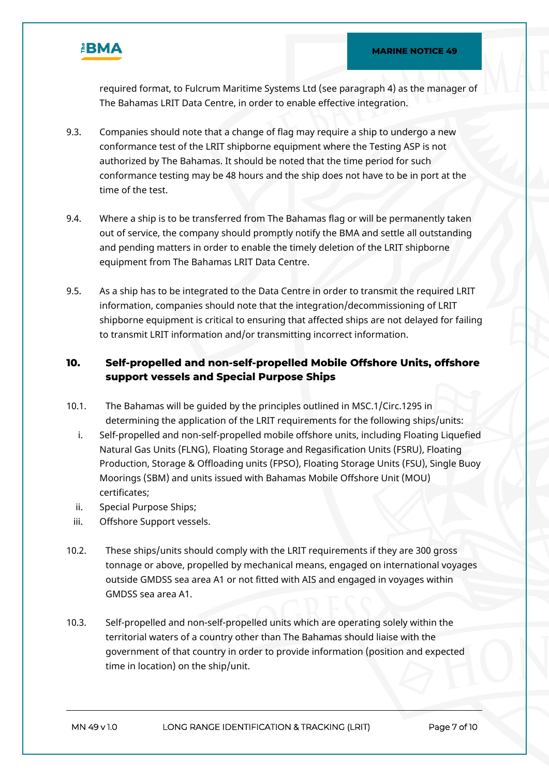

required format, to Fulcrum Maritime Systems Ltd (see paragraph 4) as the manager of The Bahamas LRIT Data Centre, in order to enable effective integration.

- 9.3. Companies should note that a change of flag may require a ship to undergo a new conformance test of the LRIT shipborne equipment where the Testing ASP is not authorized by The Bahamas. It should be noted that the time period for such conformance testing may be 48 hours and the ship does not have to be in port at the time of the test.
- 9.4. Where a ship is to be transferred from The Bahamas flag or will be permanently taken out of service, the company should promptly notify the BMA and settle all outstanding and pending matters in order to enable the timely deletion of the LRIT shipborne equipment from The Bahamas LRIT Data Centre.
- 9.5. As a ship has to be integrated to the Data Centre in order to transmit the required LRIT information, companies should note that the integration/decommissioning of LRIT shipborne equipment is critical to ensuring that affected ships are not delayed for failing to transmit LRIT information and/or transmitting incorrect information.

## **10. Self-propelled and non-self-propelled Mobile Offshore Units, offshore support vessels and Special Purpose Ships**

- 10.1. The Bahamas will be guided by the principles outlined in MSC.1/Circ.1295 in determining the application of the LRIT requirements for the following ships/units:
	- i. Self-propelled and non-self-propelled mobile offshore units, including Floating Liquefied Natural Gas Units (FLNG), Floating Storage and Regasification Units (FSRU), Floating Production, Storage & Offloading units (FPSO), Floating Storage Units (FSU), Single Buoy Moorings (SBM) and units issued with Bahamas Mobile Offshore Unit (MOU) certificates;
	- ii. Special Purpose Ships;
	- iii. Offshore Support vessels.
- 10.2. These ships/units should comply with the LRIT requirements if they are 300 gross tonnage or above, propelled by mechanical means, engaged on international voyages outside GMDSS sea area A1 or not fitted with AIS and engaged in voyages within GMDSS sea area A1.
- 10.3. Self-propelled and non-self-propelled units which are operating solely within the territorial waters of a country other than The Bahamas should liaise with the government of that country in order to provide information (position and expected time in location) on the ship/unit.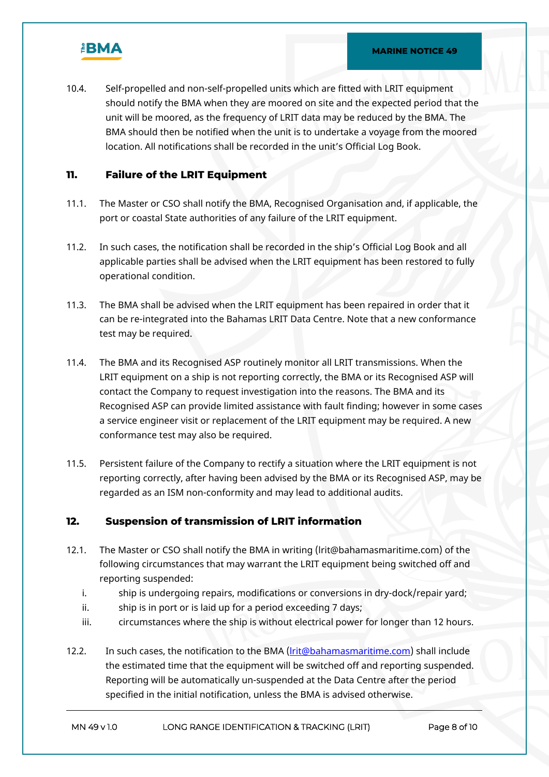

10.4. Self-propelled and non-self-propelled units which are fitted with LRIT equipment should notify the BMA when they are moored on site and the expected period that the unit will be moored, as the frequency of LRIT data may be reduced by the BMA. The BMA should then be notified when the unit is to undertake a voyage from the moored location. All notifications shall be recorded in the unit's Official Log Book.

#### **11. Failure of the LRIT Equipment**

- 11.1. The Master or CSO shall notify the BMA, Recognised Organisation and, if applicable, the port or coastal State authorities of any failure of the LRIT equipment.
- 11.2. In such cases, the notification shall be recorded in the ship's Official Log Book and all applicable parties shall be advised when the LRIT equipment has been restored to fully operational condition.
- 11.3. The BMA shall be advised when the LRIT equipment has been repaired in order that it can be re-integrated into the Bahamas LRIT Data Centre. Note that a new conformance test may be required.
- 11.4. The BMA and its Recognised ASP routinely monitor all LRIT transmissions. When the LRIT equipment on a ship is not reporting correctly, the BMA or its Recognised ASP will contact the Company to request investigation into the reasons. The BMA and its Recognised ASP can provide limited assistance with fault finding; however in some cases a service engineer visit or replacement of the LRIT equipment may be required. A new conformance test may also be required.
- 11.5. Persistent failure of the Company to rectify a situation where the LRIT equipment is not reporting correctly, after having been advised by the BMA or its Recognised ASP, may be regarded as an ISM non-conformity and may lead to additional audits.

#### **12. Suspension of transmission of LRIT information**

- 12.1. The Master or CSO shall notify the BMA in writing (lrit@bahamasmaritime.com) of the following circumstances that may warrant the LRIT equipment being switched off and reporting suspended:
	- i. ship is undergoing repairs, modifications or conversions in dry-dock/repair yard;
	- ii. ship is in port or is laid up for a period exceeding 7 days;
	- iii. circumstances where the ship is without electrical power for longer than 12 hours.
- 12.2. In such cases, the notification to the BMA [\(lrit@bahamasmaritime.com](mailto:lrit@bahamasmaritime.com)) shall include the estimated time that the equipment will be switched off and reporting suspended. Reporting will be automatically un-suspended at the Data Centre after the period specified in the initial notification, unless the BMA is advised otherwise.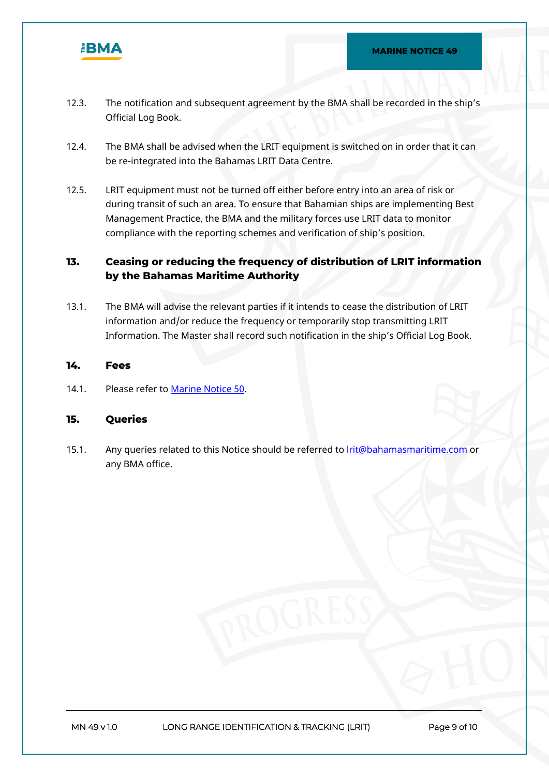

- 12.3. The notification and subsequent agreement by the BMA shall be recorded in the ship's Official Log Book.
- 12.4. The BMA shall be advised when the LRIT equipment is switched on in order that it can be re-integrated into the Bahamas LRIT Data Centre.
- 12.5. LRIT equipment must not be turned off either before entry into an area of risk or during transit of such an area. To ensure that Bahamian ships are implementing Best Management Practice, the BMA and the military forces use LRIT data to monitor compliance with the reporting schemes and verification of ship's position.

## **13. Ceasing or reducing the frequency of distribution of LRIT information by the Bahamas Maritime Authority**

13.1. The BMA will advise the relevant parties if it intends to cease the distribution of LRIT information and/or reduce the frequency or temporarily stop transmitting LRIT Information. The Master shall record such notification in the ship's Official Log Book.

#### **14. Fees**

14.1. Please refer to [Marine Notice 50.](https://www.bahamasmaritime.com/wp-content/uploads/2021/01/MN050-Fee-Schedule-v2.1-ID-877634.pdf)

#### **15. Queries**

15.1. Any queries related to this Notice should be referred to [lrit@bahamasmaritime.com](mailto:lrit@bahamasmaritime.com) or any BMA office.